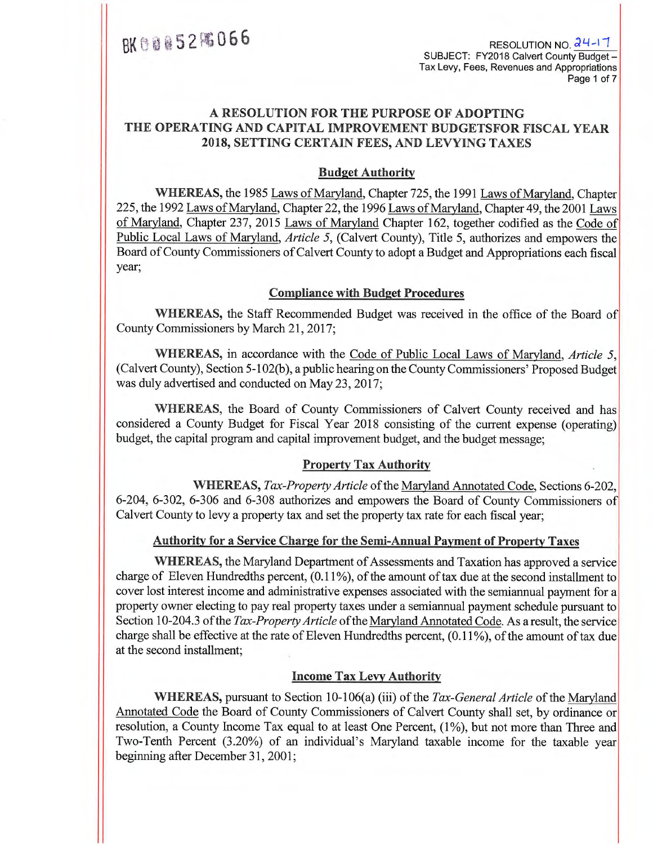$3066$ <br>RESOLUTION NO.  $\frac{24-17}{8}$ SUBJECT: FY2018 Calvert County Budget— Tax Levy, Fees, Revenues and Appropriations Page 1 of 7

# **A RESOLUTION FOR THE PURPOSE OF ADOPTING THE OPERATING AND CAPITAL IMPROVEMENT BUDGETSFOR FISCAL YEAR 2018, SETTING CERTAIN FEES, AND LEVYING TAXES**

### **Budget Authority**

**WHEREAS,** the 1985 Laws of Maryland,Chapter 725, the 1991 Laws of Maryland,Chapter 225, the 1992 Laws of Maryland, Chapter 22, the 1996 Laws of Maryland, Chapter 49, the 2001 Laws of Maryland, Chapter 237, 2015 Laws of Maryland Chapter 162, together codified as the Code of Public Local Laws of Maryland, *Article 5,* (Calvert County), Title 5, authorizes and empowers the Board of County Commissioners of Calvert County to adopt a Budget and Appropriations each fiscal year;

### **Compliance with Budget Procedures**

**WHEREAS,** the Staff Recommended Budget was received in the office of the Board of County Commissioners by March 21, 2017;

**WHEREAS,** in accordance with the Code of Public Local Laws of Maryland, *Article 5,*  (Calvert County), Section 5-102(b), a public hearing on the County Commissioners' Proposed Budget was duly advertised and conducted on May 23, 2017;

**WHEREAS,** the Board of County Commissioners of Calvert County received and has considered a County Budget for Fiscal Year 2018 consisting of the current expense (operating) budget, the capital program and capital improvement budget, and the budget message;

### **Property Tax Authority**

WHEREAS, Tax-Property Article of the Maryland Annotated Code, Sections 6-202, 6-204, 6-302, 6-306 and 6-308 authorizes and empowers the Board of County Commissioners of Calvert County to levy a property tax and set the property tax rate for each fiscal year;

### **Authority for a Service Charge for the Semi-Annual Payment of Property Taxes**

**WHEREAS,** the Maryland Department of Assessments and Taxation has approved a service charge of Eleven Hundredths percent, (0.11%), of the amount of tax due at the second installment to cover lost interest income and administrative expenses associated with the semiannual payment for a property owner electing to pay real property taxes under a semiannual payment schedule pursuant to Section 10-204.3 of the *Tax-Property Article* of the Maryland Annotated Code. As a result, the service charge shall be effective at the rate of Eleven Hundredths percent, (0.11%), of the amount of tax due at the second installment;

### **Income Tax Levy Authority**

**WHEREAS,** pursuant to Section 10-106(a) (iii) of the *Tax-General Article* of the Maryland Annotated Code the Board of County Commissioners of Calvert County shall set, by ordinance or resolution, a County Income Tax equal to at least One Percent, (1%), but not more than Three and Two-Tenth Percent (3.20%) of an individual's Maryland taxable income for the taxable year beginning after December 31, 2001;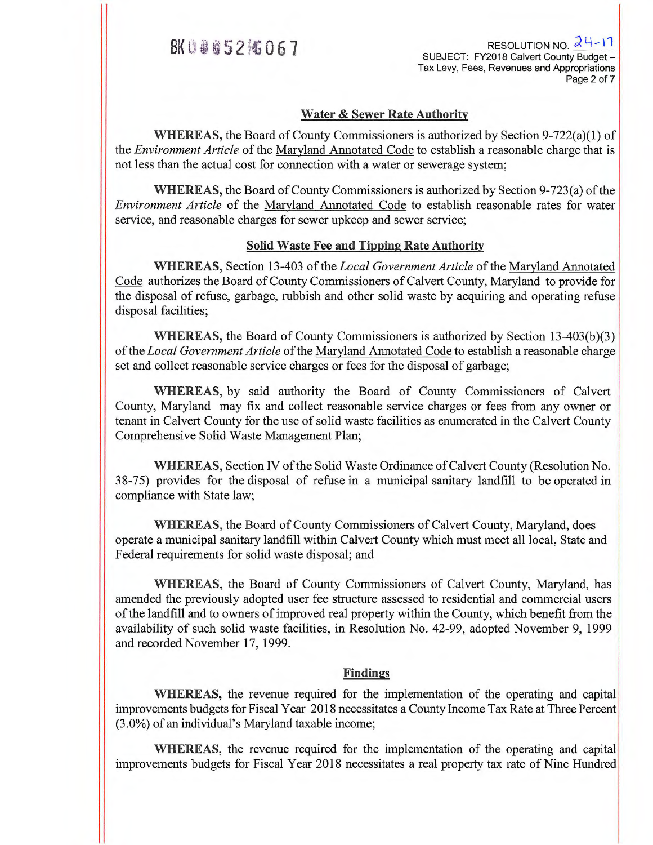$8698852\%067$  RESOLUTION NO.  $24-17$ SUBJECT: FY2018 Calvert County Budget— Tax Levy, Fees, Revenues and Appropriations Page 2 of 7

### **Water & Sewer Rate Authority**

**WHEREAS,** the Board of County Commissioners is authorized by Section 9-722(a)(1) of the *Environment Article* of the Maryland Annotated Code to establish a reasonable charge that is not less than the actual cost for connection with a water or sewerage system;

**WHEREAS,** the Board of County Commissioners is authorized by Section 9-723(a) of the *Environment Article* of the Maryland Annotated Code to establish reasonable rates for water service, and reasonable charges for sewer upkeep and sewer service;

### **Solid Waste Fee and Tipping Rate Authority**

**WHEREAS,** Section 13-403 of the *Local Government Article* of the Maryland Annotated Code authorizes the Board of County Commissioners of Calvert County, Maryland to provide for the disposal of refuse, garbage, rubbish and other solid waste by acquiring and operating refuse disposal facilities;

**WHEREAS,** the Board of County Commissioners is authorized by Section 13-403(b)(3) of the *Local Government Article* of the Maryland Annotated Code to establish a reasonable charge set and collect reasonable service charges or fees for the disposal of garbage;

**WHEREAS,** by said authority the Board of County Commissioners of Calvert County, Maryland may fix and collect reasonable service charges or fees from any owner or tenant in Calvert County for the use of solid waste facilities as enumerated in the Calvert County Comprehensive Solid Waste Management Plan;

**WHEREAS,** Section IV of the Solid Waste Ordinance of Calvert County (Resolution No. 38-75) provides for the disposal of refuse in a municipal sanitary landfill to be operated in compliance with State law;

**WHEREAS,** the Board of County Commissioners of Calvert County, Maryland, does operate a municipal sanitary landfill within Calvert County which must meet all local, State and Federal requirements for solid waste disposal; and

**WHEREAS,** the Board of County Commissioners of Calvert County, Maryland, has amended the previously adopted user fee structure assessed to residential and commercial users of the landfill and to owners of improved real property within the County, which benefit from the availability of such solid waste facilities, in Resolution No. 42-99, adopted November 9, 1999 and recorded November 17, 1999.

### **Findings**

**WHEREAS,** the revenue required for the implementation of the operating and capital improvements budgets for Fiscal Year 2018 necessitates a County Income Tax Rate at Three Percent (3.0%) of an individual's Maryland taxable income;

**WHEREAS,** the revenue required for the implementation of the operating and capital improvements budgets for Fiscal Year 2018 necessitates a real property tax rate of Nine Hundred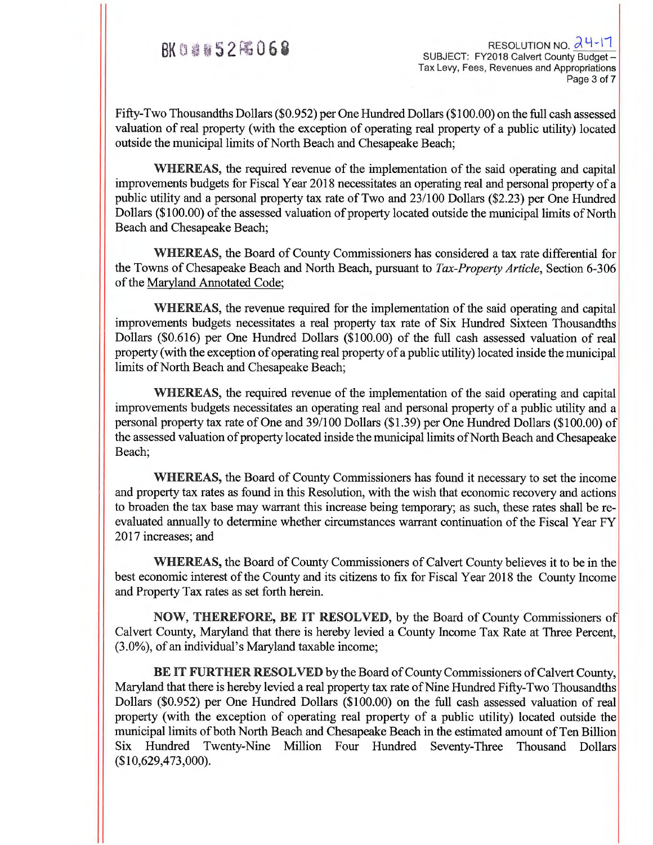$\frac{1}{2}$  BK 0 6 8  $\frac{1}{2}$  RESOLUTION NO.  $\frac{1}{2}$  4-17 Tax Levy, Fees, Revenues and Appropriations Page 3 of 7

Fifty-Two Thousandths Dollars (\$0.952) per One Hundred Dollars (\$100.00) on the full cash assessed valuation of real property (with the exception of operating real property of a public utility) located outside the municipal limits of North Beach and Chesapeake Beach;

**WHEREAS,** the required revenue of the implementation of the said operating and capital improvements budgets for Fiscal Year 2018 necessitates an operating real and personal property of a public utility and a personal property tax rate of Two and 23/100 Dollars (\$2.23) per One Hundred Dollars (\$100.00) of the assessed valuation of property located outside the municipal limits of North Beach and Chesapeake Beach;

**WHEREAS,** the Board of County Commissioners has considered a tax rate differential for the Towns of Chesapeake Beach and North Beach, pursuant to *Tax-Property Article,* Section 6-306 of the Maryland Annotated Code;

**WHEREAS,** the revenue required for the implementation of the said operating and capital improvements budgets necessitates a real property tax rate of Six Hundred Sixteen Thousandths Dollars (\$0.616) per One Hundred Dollars (\$100.00) of the full cash assessed valuation of real property (with the exception of operating real property of a public utility) located inside the municipal limits of North Beach and Chesapeake Beach;

**WHEREAS,** the required revenue of the implementation of the said operating and capital improvements budgets necessitates an operating real and personal property of a public utility and a personal property tax rate of One and 39/100 Dollars (\$1.39) per One Hundred Dollars (\$100.00) of the assessed valuation of property located inside the municipal limits of North Beach and Chesapeake Beach;

**WHEREAS,** the Board of County Commissioners has found it necessary to set the income and property tax rates as found in this Resolution, with the wish that economic recovery and actions to broaden the tax base may warrant this increase being temporary; as such, these rates shall be reevaluated annually to determine whether circumstances warrant continuation of the Fiscal Year FY 2017 increases; and

**WHEREAS,** the Board of County Commissioners of Calvert County believes it to be in the best economic interest of the County and its citizens to fix for Fiscal Year 2018 the County Income and Property Tax rates as set forth herein.

**NOW, THEREFORE, BE IT RESOLVED,** by the Board of County Commissioners of Calvert County, Maryland that there is hereby levied a County Income Tax Rate at Three Percent, (3.0%), of an individual's Maryland taxable income;

**BE IT FURTHER RESOLVED** by the Board of County Commissioners of Calvert County, Maryland that there is hereby levied a real property tax rate of Nine Hundred Fifty-Two Thousandths Dollars (\$0.952) per One Hundred Dollars (\$100.00) on the full cash assessed valuation of real property (with the exception of operating real property of a public utility) located outside the municipal limits of both North Beach and Chesapeake Beach in the estimated amount of Ten Billion Six Hundred Twenty-Nine Million Four Hundred Seventy-Three Thousand Dollars (\$10,629,473,000).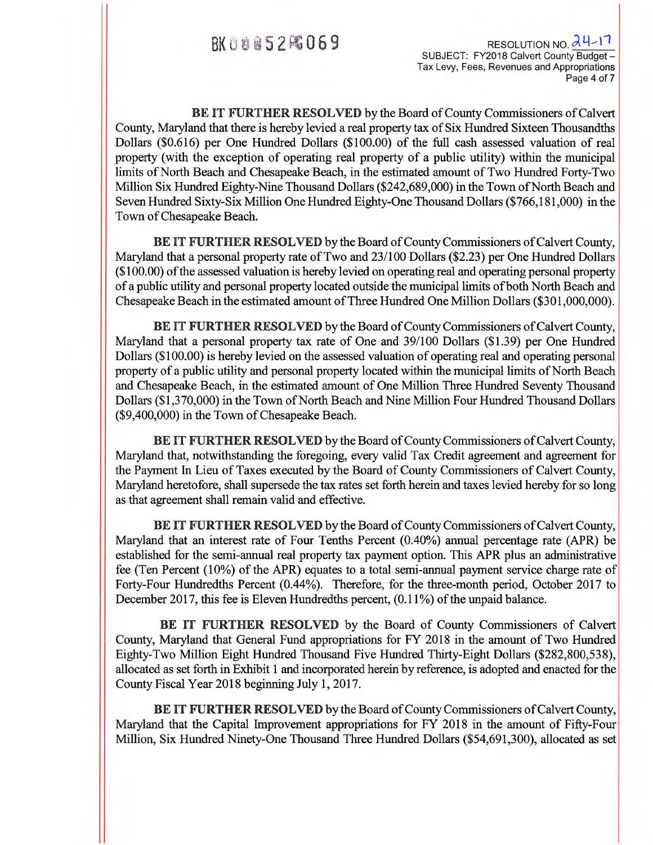**BK ① 自自与2 | 福日169** RESOLUTION NO. 24-17 SUBJECT: FY2018 Calvert County Budget— Tax Levy, Fees, Revenues and Appropriations Page 4 of 7

**BE IT FURTHER RESOLVED** by the Board of County Commissioners of Calvert County, Maryland that there is hereby levied a real property tax of Six Hundred Sixteen Thousandths Dollars (\$0.616) per One Hundred Dollars (\$100.00) of the full cash assessed valuation of real property (with the exception of operating real property of a public utility) within the municipal limits of North Beach and Chesapeake Beach, in the estimated amount of Two Hundred Forty-Two Million Six Hundred Eighty-Nine Thousand Dollars (\$242,689,000) in the Town of North Beach and Seven Hundred Sixty-Six Million One Hundred Eighty-One Thousand Dollars (\$766,181,000) in the Town of Chesapeake Beach.

**BE IT FURTHER RESOLVED** by the Board of County Commissioners of Calvert County, Maryland that a personal property rate of Two and 23/100 Dollars (\$2.23) per One Hundred Dollars (\$100.00) of the assessed valuation is hereby levied on operating real and operating personal property of a public utility and personal property located outside the municipal limits of both North Beach and Chesapeake Beach in the estimated amount of Three Hundred One Million Dollars (\$301,000,000).

**BE IT FURTHER RESOLVED** by the Board of County Commissioners of Calvert County, Maryland that a personal property tax rate of One and 39/100 Dollars (\$1.39) per One Hundred Dollars (\$100.00) is hereby levied on the assessed valuation of operating real and operating personal property of a public utility and personal property located within the municipal limits of North Beach and Chesapeake Beach, in the estimated amount of One Million Three Hundred Seventy Thousand Dollars (\$1,370,000) in the Town of North Beach and Nine Million Four Hundred Thousand Dollars (\$9,400,000) in the Town of Chesapeake Beach.

**BE IT FURTHER RESOLVED** by the Board of County Commissioners of Calvert County, Maryland that, notwithstanding the foregoing, every valid Tax Credit agreement and agreement for the Payment In Lieu of Taxes executed by the Board of County Commissioners of Calvert County, Maryland heretofore, shall supersede the tax rates set forth herein and taxes levied hereby for so long as that agreement shall remain valid and effective.

**BE IT FURTHER RESOLVED** by the Board of County Commissioners of Calvert County, Maryland that an interest rate of Four Tenths Percent (0.40%) annual percentage rate (APR) be established for the semi-annual real property tax payment option. This APR plus an administrative fee (Ten Percent (10%) of the APR) equates to a total semi-annual payment service charge rate of Forty-Four Hundredths Percent (0.44%). Therefore, for the three-month period, October 2017 to December 2017, this fee is Eleven Hundredths percent, (0.11%) of the unpaid balance.

**BE IT FURTHER RESOLVED** by the Board of County Commissioners of Calvert County, Maryland that General Fund appropriations for FY 2018 in the amount of Two Hundred Eighty-Two Million Eight Hundred Thousand Five Hundred Thirty-Eight Dollars (\$282,800,538), allocated as set forth in Exhibit 1 and incorporated herein by reference, is adopted and enacted for the County Fiscal Year 2018 beginning July 1, 2017.

**BE IT FURTHER RESOLVED** by the Board of County Commissioners of Calvert County, Maryland that the Capital Improvement appropriations for FY 2018 in the amount of Fifty-Four Million, Six Hundred Ninety-One Thousand Three Hundred Dollars (\$54,691,300), allocated as set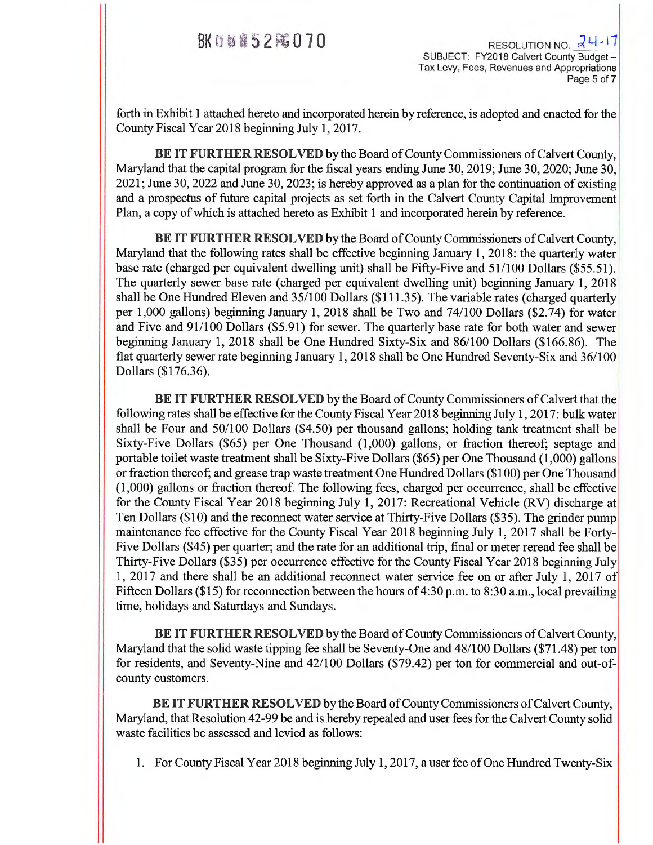BK 0 8 8 5 2  $\approx$  0 7 0 SUBJECT: FY2018 Calvert County Budget -Tax Levy, Fees, Revenues and Appropriations Page 5 of 7

forth in Exhibit 1 attached hereto and incorporated herein by reference, is adopted and enacted for the County Fiscal Year 2018 beginning July 1, 2017.

**BE IT FURTHER RESOLVED** by the Board of County Commissioners of Calvert County, Maryland that the capital program for the fiscal years ending June 30, 2019; June 30, 2020; June 30, 2021; June 30, 2022 and June 30, 2023; is hereby approved as a plan for the continuation of existing and a prospectus of future capital projects as set forth in the Calvert County Capital Improvement Plan, a copy of which is attached hereto as Exhibit 1 and incorporated herein by reference.

**BE IT FURTHER RESOLVED** by the Board of County Commissioners of Calvert County, Maryland that the following rates shall be effective beginning January 1, 2018: the quarterly water base rate (charged per equivalent dwelling unit) shall be Fifty-Five and 51/100 Dollars (\$55.51). The quarterly sewer base rate (charged per equivalent dwelling unit) beginning January 1, 2018 shall be One Hundred Eleven and 35/100 Dollars (\$111.35). The variable rates (charged quarterly per 1,000 gallons) beginning January 1, 2018 shall be Two and 74/100 Dollars (\$2.74) for water and Five and 91/100 Dollars (\$5.91) for sewer. The quarterly base rate for both water and sewer beginning January 1, 2018 shall be One Hundred Sixty-Six and 86/100 Dollars (\$166.86). The flat quarterly sewer rate beginning January 1, 2018 shall be One Hundred Seventy-Six and 36/100 Dollars (\$176.36).

**BE IT FURTHER RESOLVED** by the Board of County Commissioners of Calvert that the following rates shall be effective for the County Fiscal Year 2018 beginning July 1, 2017: bulk water shall be Four and 50/100 Dollars (\$4.50) per thousand gallons; holding tank treatment shall be Sixty-Five Dollars (\$65) per One Thousand (1,000) gallons, or fraction thereof; septage and portable toilet waste treatment shall be Sixty-Five Dollars (\$65) per One Thousand (1,000) gallons or fraction thereof; and grease trap waste treatment One Hundred Dollars (\$100) per One Thousand  $(1,000)$  gallons or fraction thereof. The following fees, charged per occurrence, shall be effective for the County Fiscal Year 2018 beginning July 1, 2017: Recreational Vehicle (RV) discharge at Ten Dollars (\$10) and the reconnect water service at Thirty-Five Dollars (\$35). The grinder pump maintenance fee effective for the County Fiscal Year 2018 beginning July 1, 2017 shall be Forty-Five Dollars (\$45) per quarter; and the rate for an additional trip, final or meter reread fee shall be Thirty-Five Dollars (\$35) per occurrence effective for the County Fiscal Year 2018 beginning July 1, 2017 and there shall be an additional reconnect water service fee on or after July 1, 2017 of Fifteen Dollars (\$15) for reconnection between the hours of 4:30 p.m. to 8:30 a.m., local prevailing time, holidays and Saturdays and Sundays.

**BE IT FURTHER RESOLVED** by the Board of County Commissioners of Calvert County, Maryland that the solid waste tipping fee shall be Seventy-One and 48/100 Dollars (\$71.48) per ton for residents, and Seventy-Nine and 42/100 Dollars (\$79.42) per ton for commercial and out-ofcounty customers.

**BE IT FURTHER RESOLVED** by the Board of County Commissioners of Calvert County, Maryland, that Resolution 42-99 be and is hereby repealed and user fees for the Calvert County solid waste facilities be assessed and levied as follows:

1. For County Fiscal Year 2018 beginning July 1, 2017, a user fee of One Hundred Twenty-Six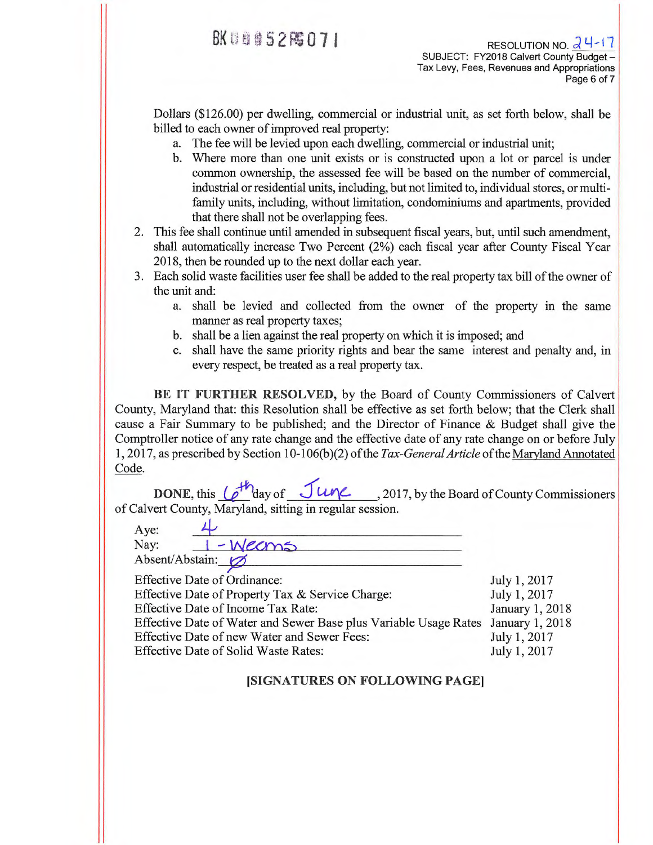$J_{11}$   $J_{21}$   $2017$ 

Dollars (\$126.00) per dwelling, commercial or industrial unit, as set forth below, shall be billed to each owner of improved real property:

- a. The fee will be levied upon each dwelling, commercial or industrial unit;
- b. Where more than one unit exists or is constructed upon a lot or parcel is under common ownership, the assessed fee will be based on the number of commercial, industrial or residential units, including, but not limited to, individual stores, or multifamily units, including, without limitation, condominiums and apartments, provided that there shall not be overlapping fees.
- 2. This fee shall continue until amended in subsequent fiscal years, but, until such amendment, shall automatically increase Two Percent (2%) each fiscal year after County Fiscal Year 2018, then be rounded up to the next dollar each year.
- 3. Each solid waste facilities user fee shall be added to the real property tax bill of the owner of the unit and:
	- a. shall be levied and collected from the owner of the property in the same manner as real property taxes;
	- b. shall be a lien against the real property on which it is imposed; and
	- c. shall have the same priority rights and bear the same interest and penalty and, in every respect, be treated as a real property tax.

**BE IT FURTHER RESOLVED,** by the Board of County Commissioners of Calvert County, Maryland that: this Resolution shall be effective as set forth below; that the Clerk shall cause a Fair Summary to be published; and the Director of Finance & Budget shall give the Comptroller notice of any rate change and the effective date of any rate change on or before July 1, 2017, as prescribed by Section 10-106(b)(2) of the *Tax-General Article* of the Maryland Annotated Code.

**DONE, this**  $\left(\right)$  day of  $\left(\frac{1}{2}u\right)$   $\left(\frac{1}{2}u\right)$  , 2017, by the Board of County Commissioners of Calvert County, Maryland, sitting in regular session.

| Aye: |                 |  |
|------|-----------------|--|
| Nay: | -Wecms          |  |
|      | Absent/Abstain: |  |

Effective Date of Ordinance:

| Effective Date of Ordinance.                                                     | JUIVI, ZVII     |
|----------------------------------------------------------------------------------|-----------------|
| Effective Date of Property Tax & Service Charge:                                 | July 1, 2017    |
| <b>Effective Date of Income Tax Rate:</b>                                        | January 1, 2018 |
| Effective Date of Water and Sewer Base plus Variable Usage Rates January 1, 2018 |                 |
| Effective Date of new Water and Sewer Fees:                                      | July 1, 2017    |
| Effective Date of Solid Waste Rates:                                             | July 1, 2017    |
|                                                                                  |                 |

# **[SIGNATURES ON FOLLOWING PAGE]**